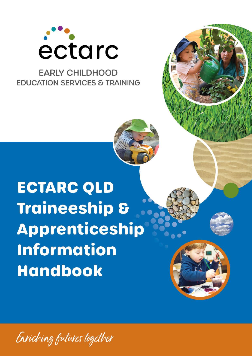

## **EARLY CHILDHOOD EDUCATION SERVICES & TRAINING**

# **ECTARC QLD Traineeship & Apprenticeship Information Handbook**



*QLD Traineeship & Apprenticeship Information Handbook RTO Code: 90331 HB16(SP-10.3) =V20 Page 1 of 35*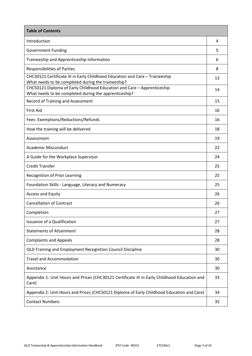| <b>Table of Contents</b>                                                                                                           |    |
|------------------------------------------------------------------------------------------------------------------------------------|----|
| Introduction                                                                                                                       | 4  |
| <b>Government Funding</b>                                                                                                          | 5  |
| Traineeship and Apprenticeship Information                                                                                         | 6  |
| <b>Responsibilities of Parties</b>                                                                                                 | 8  |
| CHC30121 Certificate III in Early Childhood Education and Care - Traineeship<br>What needs to be completed during the traineeship? | 13 |
| CHC50121 Diploma of Early Childhood Education and Care - Apprenticeship<br>What needs to be completed during the apprenticeship?   | 14 |
| Record of Training and Assessment                                                                                                  | 15 |
| <b>First Aid</b>                                                                                                                   | 16 |
| Fees: Exemptions/Reductions/Refunds                                                                                                | 16 |
| How the training will be delivered                                                                                                 | 18 |
| Assessment                                                                                                                         | 19 |
| <b>Academic Misconduct</b>                                                                                                         | 22 |
| A Guide for the Workplace Supervisor                                                                                               | 24 |
| <b>Credit Transfer</b>                                                                                                             | 25 |
| Recognition of Prior Learning                                                                                                      | 25 |
| Foundation Skills - Language, Literacy and Numeracy                                                                                | 25 |
| <b>Access and Equity</b>                                                                                                           | 26 |
| <b>Cancellation of Contract</b>                                                                                                    | 26 |
| Completion                                                                                                                         | 27 |
| <b>Issuance of a Qualification</b>                                                                                                 | 27 |
| <b>Statements of Attainment</b>                                                                                                    | 28 |
| <b>Complaints and Appeals</b>                                                                                                      | 28 |
| QLD Training and Employment Recognition Council Discipline                                                                         | 30 |
| <b>Travel and Accommodation</b>                                                                                                    | 30 |
| Assistance                                                                                                                         | 30 |
| Appendix 1: Unit Hours and Prices (CHC30121 Certificate III in Early Childhood Education and<br>Care)                              | 33 |
| Appendix 2: Unit Hours and Prices (CHC50121 Diploma of Early Childhood Education and Care)                                         | 34 |
| <b>Contact Numbers</b>                                                                                                             | 35 |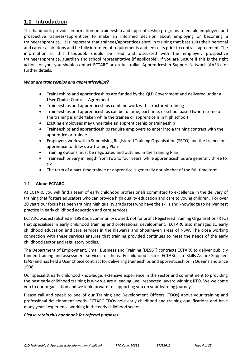## **1.0 Introduction**

This handbook provides information on traineeship and apprenticeship programs to enable employers and prospective trainees/apprentices to make an informed decision about employing or becoming a trainee/apprentice. It is important that trainees/apprentices enrol in training that best suits their personal and career aspirations and be fully informed of requirements and fee costs prior to contract agreement. The information in this handbook should be read and discussed with the employer, prospective trainee/apprentice, guardian and school representative (if applicable). If you are unsure if this is the right action for you, you should contact ECTARC or an Australian Apprenticeship Support Network (AASN) for further details.

#### *What are traineeships and apprenticeships?*

- Traineeships and apprenticeships are funded by the QLD Government and delivered under a **User Choice** Contract Agreement
- Traineeships and apprenticeships combine work with structured training
- Traineeships and apprenticeships can be fulltime, part time, or school based (where some of the training is undertaken while the trainee or apprentice is in high school)
- Existing employees may undertake an apprenticeship or traineeship
- Traineeships and apprenticeships require employers to enter into a training contract with the apprentice or trainee
- Employers work with a Supervising Registered Training Organisation (SRTO) and the trainee or apprentice to draw up a Training Plan
- Training options must be negotiated and outlined in the Training Plan
- Traineeships vary in length from two to four years, while apprenticeships are generally three to six
- The term of a part-time trainee or apprentice is generally double that of the full-time term.

#### **1.1 About ECTARC**

At ECTARC you will find a team of early childhood professionals committed to excellence in the delivery of training that fosters educators who can provide high quality education and care to young children. For over 20 years our focus has been training high quality graduates who have the skills and knowledge to deliver best practice in early childhood education and care services.

ECTARC was established in 1998 as a community owned, not for profit Registered Training Organisation (RTO) that specialises in early childhood training and professional development. ECTARC also manages 11 early childhood education and care services in the Illawarra and Shoalhaven areas of NSW. The close working connection with these services ensures that training provided continues to meet the needs of the early childhood sector and regulatory bodies.

The Department of Employment, Small Business and Training (DESBT) contracts ECTARC to deliver publicly funded training and assessment services for the early childhood sector. ECTARC is a 'Skills Assure Supplier' (SAS) and has held a User Choice contract for delivering traineeships and apprenticeships in Queensland since 1998.

Our specialist early childhood knowledge, extensive experience in the sector and commitment to providing the best early childhood training is why we are a leading, well respected, award winning RTO. We welcome you to our organisation and we look forward to supporting you on your learning journey.

Please call and speak to one of our Training and Development Officers (TDOs) about your training and professional development needs. ECTARC TDOs hold early childhood and training qualifications and have many years' experience working in the early childhood sector.

#### *Please retain this handbook for referral purposes.*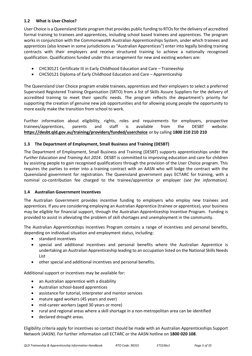#### **1.2 What is User Choice?**

User Choice is a Queensland State program that provides public funding to RTOsfor the delivery of accredited formal training to trainees and apprentices, including school based trainees and apprentices. The program works in conjunction with the Commonwealth Australian Apprenticeships System, under which trainees and apprentices (also known in some jurisdictions as "Australian Apprentices") enter into legally binding training contracts with their employers and receive structured training to achieve a nationally recognised qualification. Qualifications funded under this arrangement for new and existing workers are:

- CHC30121 Certificate III in Early Childhood Education and Care Traineeship
- CHC50121 Diploma of Early Childhood Education and Care Apprenticeship

The Queensland User Choice program enable trainees, apprentices and their employers to select a preferred Supervised Registered Training Organisation (SRTO) from a list of Skills Assure Suppliers for the delivery of accredited training to meet their specific needs. The program reflects the department's priority for supporting the creation of genuine new job opportunities and for allowing young people the opportunity to more easily make the transition from school to work.

Further information about eligibility, rights, roles and requirements for employers, prospective trainees/apprentices, parents and staff is available from the DESBT website: **https://desbt.qld.gov.au/training/providers/funded/userchoice** or by calling **1800 210 210 210**

#### **1.3 The Department of Employment, Small Business and Training (DESBT)**

The Department of Employment, Small Business and Training (DESBT) supports apprenticeships under the *Further Education and Training Act 2014*. DESBT is committed to improving education and care for children by assisting people to gain recognised qualifications through the provision of the User Choice program. This requires the parties to enter into a training contract with an AASN who will lodge the contract with the Queensland government for registration. The Queensland government pays ECTARC for training, with a nominal co-contribution fee charged to the trainee/apprentice or employer *(see fee information).* 

#### **1.4 Australian Government Incentives**

The Australian Government provides incentive funding to employers who employ new trainees and apprentices. If you are considering employing an Australian Apprentice (trainee or apprentice), your business may be eligible for financial support, through the Australian Apprenticeship Incentive Program. Funding is provided to assist in alleviating the problem of skill shortages and unemployment in the community.

The Australian Apprenticeships Incentives Program contains a range of incentives and personal benefits, depending on individual situation and employment status, including:

- standard incentives
- special and additional incentives and personal benefits where the Australian Apprentice is undertaking an Australian Apprenticeship leading to an occupation listed on the National Skills Needs List
- other special and additional incentives and personal benefits.

Additional support or incentives may be available for:

- an Australian apprentice with a disability
- Australian school-based apprentices
- assistance for tutorial, interpreter and mentor services
- mature aged workers (45 years and over)
- mid-career workers (aged 30 years or more)
- rural and regional areas where a skill shortage in a non-metropolitan area can be identified
- declared drought areas.

Eligibility criteria apply for incentives so contact should be made with an Australian Apprenticeships Support Network (AASN). For further information call ECTARC or the AASN hotline on **1800 020 108**.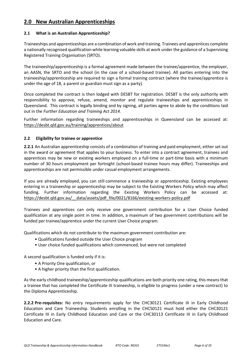## **2.0 New Australian Apprenticeships**

#### **2.1 What is an Australian Apprenticeship?**

Traineeships and apprenticeships are a combination of work and training. Trainees and apprentices complete a nationally recognised qualification while learning valuable skills at work under the guidance of a Supervising Registered Training Organisation (SRTO).

The traineeship/apprenticeship is a formal agreement made between the trainee/apprentice, the employer, an AASN, the SRTO and the school (in the case of a school-based trainee). All parties entering into the traineeship/apprenticeship are required to sign a formal training contract (where the trainee/apprentice is under the age of 18, a parent or guardian must sign as a party).

Once completed the contract is then lodged with DESBT for registration. DESBT is the only authority with responsibility to approve, refuse, amend, monitor and regulate traineeships and apprenticeships in Queensland. This contract is legally binding and by signing, all parties agree to abide by the conditions laid out in the *Further Education and Training Act 2014.*

Further information regarding traineeships and apprenticeships in Queensland can be accessed at: https://desbt.qld.gov.au/training/apprentices/about

#### **2.2 Eligibility for trainee or apprentice**

**2.2.1** An Australian apprenticeship consists of a combination of training and paid employment, either set out in the award or agreement that applies to your business. To enter into a contract agreement, trainees and apprentices may be new or existing workers employed on a full-time or part-time basis with a minimum number of 30 hours employment per fortnight (school-based trainee hours may differ). Traineeships and apprenticeships are not permissible under casual employment arrangements.

If you are already employed, you can still commence a traineeship or apprenticeship. Existing employees entering in a traineeship or apprenticeship may be subject to the Existing Workers Policy which may affect funding. Further information regarding the Existing Workers Policy can be accessed at: https://desbt.qld.gov.au/\_\_data/assets/pdf\_file/0021/8166/existing-workers-policy.pdf

Trainees and apprentices can only receive one government contribution for a User Choice funded qualification at any single point in time. In addition, a maximum of two government contributions will be funded per trainee/apprentice under the current User Choice program.

Qualifications which do not contribute to the maximum government contribution are:

- Qualifications funded outside the User Choice program
- User choice funded qualifications which commenced, but were not completed

A second qualification is funded only if it is:

- A Priority One qualification, or
- A higher priority than the first qualification.

As the early childhood traineeship/apprenticeship qualifications are both priority one rating, this means that a trainee that has completed the Certificate III traineeship, is eligible to progress (under a new contract) to the Diploma Apprenticeship.

**2.2.2 Pre-requisites:** No entry requirements apply for the CHC30121 Certificate III in Early Childhood Education and Care Traineeship. Students enrolling in the CHC50121 must hold either the CHC30121 Certificate III in Early Childhood Education and Care or the CHC30113 Certificate III in Early Childhood Education and Care.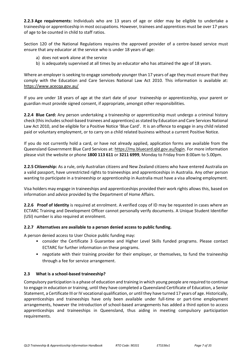**2.2.3 Age requirements:** Individuals who are 13 years of age or older may be eligible to undertake a traineeship or apprenticeship in most occupations. However, trainees and apprentices must be over 17 years of age to be counted in child to staff ratios.

Section 120 of the National Regulations requires the approved provider of a centre-based service must ensure that any educator at the service who is under 18 years of age:

- a) does not work alone at the service
- b) is adequately supervised at all times by an educator who has attained the age of 18 years.

Where an employer is seeking to engage somebody younger than 17 years of age they must ensure that they comply with the Education and Care Services National Law Act 2010*.* This information is available at: <https://www.acecqa.gov.au/>

If you are under 18 years of age at the start date of your traineeship or apprenticeship, your parent or guardian must provide signed consent, if appropriate, amongst other [responsibilities.](http://apprenticeshipsinfo.qld.gov.au/information-resources/info-sheets/is20.html)

**2.2.4 Blue Card:** Any person undertaking a traineeship or apprenticeship must undergo a criminal history check (this includes school-based trainees and apprentices) as stated by Education and Care Services National Law Act 2010, and be eligible for a Positive Notice 'Blue Card'. It is an offence to engage in any child related paid or voluntary employment, or to carry on a child related business without a current Positive Notice.

If you do not currently hold a card, or have not already applied, application forms are available from the Queensland Government Blue Card Services at: https://my.bluecard.qld.gov.au/login. For more information please visit the website or phone **1800 113 611** or **3211 6999**, Monday to Friday from 8:00am to 5.00pm.

**2.2.5 Citizenship:** As a rule, only Australian citizens and New Zealand citizens who have entered Australia on a valid passport, have unrestricted rights to traineeships and apprenticeships in Australia. Any other person wanting to participate in a traineeship or apprenticeship in Australia must have a visa allowing employment.

Visa holders may engage in traineeships and apprenticeships provided their work rights allows this, based on information and advice provided by the Department of Home Affairs.

**2.2.6 Proof of Identity** is required at enrolment. A verified copy of ID may be requested in cases where an ECTARC Training and Development Officer cannot personally verify documents. A Unique Student Identifier (USI) number is also required at enrolment.

#### **2.2.7 Alternatives are available to a person denied access to public funding.**

A person denied access to User Choice public funding may:

- consider the Certificate 3 Guarantee and Higher Level Skills funded programs. Please contact ECTARC for further information on these programs.
- negotiate with their training provider for their employer, or themselves, to fund the traineeship through a fee for service arrangement.

#### **2.3 What is a school-based traineeship?**

Compulsory participation is a phase of education and training in which young people are required to continue to engage in education or training, until they have completed a Queensland Certificate of Education, a Senior Statement, a Certificate III or IV vocational qualification, or until they have turned 17 years of age. Historically, apprenticeships and traineeships have only been available under full-time or part-time employment arrangements, however the introduction of school-based arrangements has added a third option to access apprenticeships and traineeships in Queensland, thus aiding in meeting compulsory participation requirements.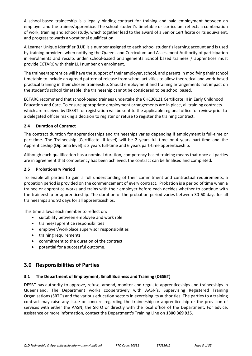A school-based traineeship is a legally binding contract for training and paid employment between an employer and the trainee/apprentice. The school student's timetable or curriculum reflects a combination of work; training and school study, which together lead to the award of a Senior Certificate or its equivalent, and progress towards a vocational qualification.

A Learner Unique Identifier (LUI) is a number assigned to each school student's learning account and is used by training providers when notifying the Queensland Curriculum and Assessment Authority of participation in enrolments and results under school-based arrangements. School based trainees / apprentices must provide ECTARC with their LUI number on enrolment.

The trainee/apprentice will have the support of their employer, school, and parents in modifying their school timetable to include an agreed pattern of release from school activities to allow theoretical and work-based practical training in their chosen traineeship. Should employment and training arrangements not impact on the student's school timetable, the traineeship cannot be considered to be school based.

ECTARC recommend that school-based trainees undertake the CHC30121 Certificate III in Early Childhood Education and Care. To ensure appropriate employment arrangements are in place, all training contracts which are received by DESBT for registration will be sent to the applicable regional office for review prior to a delegated officer making a decision to register or refuse to register the training contract.

#### **2.4 Duration of Contract**

The contract duration for apprenticeships and traineeships varies depending if employment is full-time or part-time. The Traineeship (Certificate III level) will be 2 years full-time or 4 years part-time and the Apprenticeship (Diploma level) is 3 years full-time and 6 years part-time apprenticeship.

Although each qualification has a nominal duration, competency based training means that once all parties are in agreement that competency has been achieved, the contract can be finalised and completed.

#### **2.5 Probationary Period**

To enable all parties to gain a full understanding of their commitment and contractual requirements, a probation period is provided on the commencement of every contract. Probation is a period of time when a trainee or apprentice works and trains with their employer before each decides whether to continue with the traineeship or apprenticeship. The duration of the probation period varies between 30-60 days for all traineeships and 90 days for all apprenticeships.

This time allows each member to reflect on:

- suitability between employee and work role
- trainee/apprentice responsibilities
- employer/workplace supervisor responsibilities
- training requirements
- commitment to the duration of the contract
- potential for a successful outcome.

## **3.0 Responsibilities of Parties**

#### **3.1 The Department of Employment, Small Business and Training (DESBT)**

DESBT has authority to approve, refuse, amend, monitor and regulate apprenticeships and traineeships in Queensland. The Department works cooperatively with AASN's, Supervising Registered Training Organisations (SRTO) and the various education sectors in exercising its authorities. The parties to a training contract may raise any issue or concern regarding the traineeship or apprenticeship or the provision of services with either the AASN, the SRTO or directly with the local office of the Department. For advice, assistance or more information, contact the Department's Training Line on **1300 369 935.**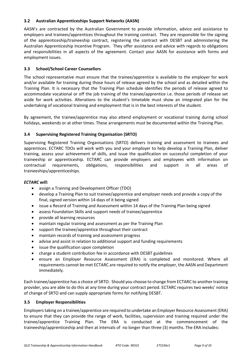#### **3.2 Australian Apprenticeships Support Networks (AASN)**

AASN's are contracted by the Australian Government to provide information, advice and assistance to employers and trainees/apprentices throughout the training contract. They are responsible for the signing of the apprenticeship/traineeship contract, registering the contract with DESBT and administering the Australian Apprenticeship Incentive Program. They offer assistance and advice with regards to obligations and responsibilities in all aspects of the agreement. Contact your AASN for assistance with forms and employment issues.

#### **3.3 School/School Career Counsellors**

The school representative must ensure that the trainee/apprentice is available to the employer for work and/or available for training during those hours of release agreed by the school and as detailed within the Training Plan. It is necessary that the Training Plan schedule identifies the periods of release agreed to accommodate vocational or off the job training of the trainee/apprentice i.e. those periods of release set aside for work activities. Alterations to the student's timetable must show an integrated plan for the undertaking of vocational training and employment that is in the best interests of the student.

By agreement, the trainee/apprentice may also attend employment or vocational training during school holidays, weekends or at other times. These arrangements must be documented within the Training Plan.

#### **3.4 Supervising Registered Training Organisation (SRTO)**

Supervising Registered Training Organisations (SRTO) delivers training and assessment to trainees and apprentices. ECTARC TDOs will work with you and your employer to help develop a Training Plan, deliver training, assess your achievement of skills, and issue the qualification on successful completion of your traineeship or apprenticeship. ECTARC can provide employers and employees with information on contractual requirements, obligations, responsibilities and support in all areas of traineeships/apprenticeships.

#### *ECTARC will:*

- assign a Training and Development Officer (TDO)
- develop a Training Plan to suit trainee/apprentice and employer needs and provide a copy of the final, signed version within 14 days of it being signed
- issue a Record of Training and Assessment within 14 days of the Training Plan being signed
- assess Foundation Skills and support needs of trainee/apprentice
- provide all learning resources
- maintain regular training and assessment as per the Training Plan
- support the trainee/apprentice throughout their contract
- maintain records of training and assessment progress
- advise and assist in relation to additional support and funding requirements
- issue the qualification upon completion
- charge a student contribution fee in accordance with DESBT guidelines
- ensure an Employer Resource Assessment (ERA) is completed and monitored. Where all requirements cannot be met ECTARC are required to notify the employer, the AASN and Department immediately.

Each trainee/apprentice has a choice of SRTO. Should you choose to change from ECTARC to another training provider, you are able to do this at any time during your contract period. ECTARC requires two weeks' notice of change of SRTO and can supply appropriate forms for notifying DESBT.

#### **3.5 Employer Responsibilities**

Employers taking on a trainee/apprentice are required to undertake an Employer Resource Assessment (ERA) to ensure that they can provide the range of work, facilities, supervision and training required under the trainee/apprentice Training Plan. The ERA is conducted at the commencement of the traineeship/apprenticeship and then at intervals of no longer than three (3) months. The ERA includes: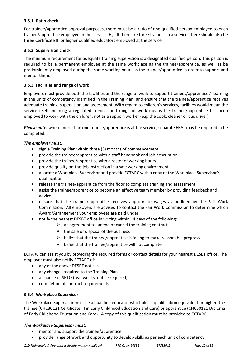#### **3.5.1 Ratio check**

For trainee/apprentice approval purposes, there must be a ratio of one qualified person employed to each trainee/apprentice employed in the service. E.g. If there are three trainees in a service, there should also be three Certificate III or higher qualified educators employed at the service.

#### **3.5.2 Supervision check**

The minimum requirement for adequate training supervision is a designated qualified person. This person is required to be a permanent employee at the same workplace as the trainee/apprentice, as well as be predominantly employed during the same working hours as the trainee/apprentice in order to support and mentor them.

#### **3.5.3 Facilities and range of work**

Employers must provide both the facilities and the range of work to support trainees/apprentices' learning in the units of competency identified in the Training Plan, and ensure that the trainee/apprentice receives adequate training, supervision and assessment. With regard to children's services, facilities would mean the service itself meaning a regulated service, and range of work means the trainee/apprentice has been employed to work with the children, not as a support worker (e.g. the cook, cleaner or bus driver).

*Please note:* where more than one trainee/apprentice is at the service, separate ERAs may be required to be completed.

#### *The employer must:*

- sign a Training Plan within three (3) months of commencement
- provide the trainee/apprentice with a staff handbook and job description
- provide the trainee/apprentice with a roster of working hours
- provide quality on-the-job instruction in a safe working environment
- allocate a Workplace Supervisor and provide ECTARC with a copy of the Workplace Supervisor's qualification
- release the trainee/apprentice from the floor to complete training and assessment
- assist the trainee/apprentice to become an effective team member by providing feedback and advice
- ensure that the trainee/apprentice receives appropriate wages as outlined by the Fair Work Commission. All employers are advised to contact the Fair Work Commission to determine which Award/Arrangement your employees are paid under.
- notify the nearest DESBT office in writing within 14 days of the following:
	- $\triangleright$  an agreement to amend or cancel the training contract
	- $\triangleright$  the sale or disposal of the business
	- $\triangleright$  belief that the trainee/apprentice is failing to make reasonable progress
	- $\triangleright$  belief that the trainee/apprentice will not complete

ECTARC can assist you by providing the required forms or contact details for your nearest DESBT office. The employer must also notify ECTARC of:

- any of the above DESBT notices
- any changes required to the Training Plan
- a change of SRTO (two weeks' notice required)
- completion of contract requirements

#### **3.5.4 Workplace Supervisor**

The Workplace Supervisor must be a qualified educator who holds a qualification equivalent or higher, the trainee (CHC30121 Certificate III in Early Childhood Education and Care) or apprentice (CHC50121 Diploma of Early Childhood Education and Care). A copy of this qualification must be provided to ECTARC.

#### *The Workplace Supervisor must:*

- mentor and support the trainee/apprentice
- provide range of work and opportunity to develop skills as per each unit of competency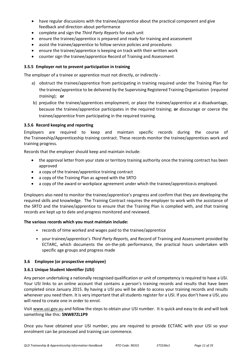- have regular discussions with the trainee/apprentice about the practical component and give feedback and direction about performance
- complete and sign the *Third Party Reports* for each unit
- ensure the trainee/apprentice is prepared and ready for training and assessment
- assist the trainee/apprentice to follow service policies and procedures
- ensure the trainee/apprentice is keeping on track with their written work
- counter sign the trainee/apprentice Record of Training and Assessment

#### **3.5.5 Employer not to prevent participation in training**

The employer of a trainee or apprentice must not directly, or indirectly -

- a) obstruct the trainee/apprentice from participating in training required under the Training Plan for the trainee/apprentice to be delivered by the Supervising Registered Training Organisation (*required training*); **or**
- b) prejudice the trainee/apprentices employment, or place the trainee/apprentice at a disadvantage, because the trainee/apprentice participates in the required training; **or** discourage or coerce the trainee/apprentice from participating in the required training.

#### **3.5.6 Record keeping and reporting**

Employers are required to keep and maintain specific records during the course of the Traineeship/Apprenticeship training contract. These records monitor the trainee/apprentices work and training progress.

Records that the employer should keep and maintain include:

- the approval letter from your state or territory training authority once the training contract has been approved
- a copy of the trainee/apprentice training contract
- a copy of the Training Plan as agreed with the SRTO
- a copy of the award or workplace agreement under which the trainee/apprentice is employed.

Employers also need to monitor the trainee/apprentice's progress and confirm that they are developing the required skills and knowledge. The Training Contract requires the employer to work with the assistance of the SRTO and the trainee/apprentice to ensure that the Training Plan is complied with, and that training records are kept up to date and progress monitored and reviewed.

#### **The various records which you must maintain include:**

- records of time worked and wages paid to the trainee/apprentice
- your trainee/apprentice's *Third Party Reports,* and Record of Training and Assessment provided by ECTARC, which documents the on-the-job performance, the practical hours undertaken with specific age groups and progress made

#### **3.6 Employee (or prospective employee)**

#### **3.6.1 Unique Student Identifier (USI)**

Any person undertaking a nationally recognised qualification or unit of competency is required to have a USI. Your USI links to an online account that contains a person's training records and results that have been completed since January 2015. By having a USI you will be able to access your training records and results whenever you need them. It is very important that all students register for a USI. If you don't have a USI, you will need to create one in order to enrol.

Visit www.usi.gov.au and follow the steps to obtain your USI number. It is quick and easy to do and will look something like this: **5NW87ZL1P9**

Once you have obtained your USI number, you are required to provide ECTARC with your USI so your enrolment can be processed and training can commence.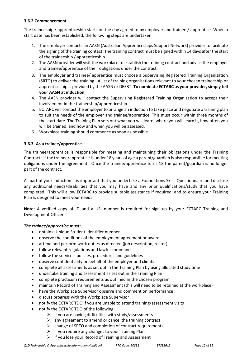#### **3.6.2 Commencement**

The traineeship / apprenticeship starts on the day agreed to by employer and trainee / apprentice. When a start date has been established, the following steps are undertaken:

- 1. The employer contacts an AASN (Australian Apprenticeships Support Network) provider to facilitate the signing of the training contact. The training contract must be signed within 14 days after the start of the traineeship / apprenticeship.
- 2. The AASN provider will visit the workplace to establish the training contract and advise the employer and trainee/apprentice of their obligations under the contract.
- 3. The employer and trainee/ apprentice must choose a Supervising Registered Training Organisation (SRTO) to deliver the training. A list of training organisations relevant to your chosen traineeship or apprenticeship is provided by the AASN or DESBT. **To nominate ECTARC as your provider, simply tell your AASN at induction**.
- 4. The AASN provider will contact the Supervising Registered Training Organisation to accept their involvement in the traineeship/apprenticeship.
- 5. ECTARC will contact the employer to arrange an induction to take place and negotiate a training plan to suit the needs of the employer and trainee/apprentice. This must occur within three months of the start date. The Training Plan sets out what you will learn, where you will learn it, how often you will be trained, and how and when you will be assessed.
- 6. Workplace training should commence as soon as possible.

#### **3.6.3 As a trainee/apprentice**

The trainee/apprentice is responsible for meeting and maintaining their obligations under the Training Contract. If the trainee/apprentice is under 18 years of age a parent/guardian is also responsible for meeting obligations under the agreement. Once the trainee/apprentice turns 18 the parent/guardian is no longer part of the contract.

As part of your induction it is important that you undertake a Foundations Skills Questionnaire and disclose any additional needs/disabilities that you may have and any prior qualifications/study that you have completed. This will allow ECTARC to provide suitable assistance if required, and to ensure your Training Plan is designed to meet your needs.

**Note:** A verified copy of ID and a USI number is required for sign up by your ECTARC Training and Development Officer.

#### *The trainee/apprentice must:*

- obtain a Unique Student Identifier number
- observe the conditions of the employment agreement or award
- attend and perform work duties as directed (job description, roster)
- follow relevant regulations and lawful commands
- follow the service's policies, procedures and guidelines
- observe confidentiality on behalf of the employer and clients
- complete all assessments as set out in the Training Plan by using allocated study time
- undertake training and assessment as set out in the Training Plan
- complete practicum requirements as outlined in the chosen program
- maintain Record of Training and Assessment (this will need to be retained at the workplace)
- have the Workplace Supervisor observe and comment on performance
- discuss progress with the Workplace Supervisor
- notify the ECTARC TDO if you are unable to attend training/assessment visits
- notify the ECTARC TDO of the following:
	- $\triangleright$  if you are having difficulties with study/assessments
	- $\triangleright$  any agreement to amend or cancel the training contract
	- $\triangleright$  change of SRTO and completion of contract requirements
	- $\triangleright$  if you require any changes to your Training Plan
	- $\triangleright$  if you lose your Record of Training and Assessment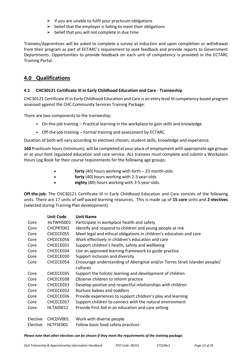- $\triangleright$  if you are unable to fulfil your practicum obligations
- $\triangleright$  belief that the employer is failing to meet their obligations
- $\triangleright$  belief that you will not complete in due time

Trainees/Apprentices will be asked to complete a survey at induction and upon completion or withdrawal from their program as part of ECTARC's requirement to seek feedback and provide reports to Government Departments. Opportunities to provide feedback on each unit of competency is provided in the ECTARC Training Portal.

## **4.0 Qualifications**

#### **4.1 CHC30121 Certificate III in Early Childhood Education and Care - Traineeship**

CHC30121 Certificate III in Early Childhood Education and Care is an entry level III competency based program assessed against the CHC Community Services Training Package.

There are two components to the traineeship:

- On-the-job training Practical learning in the workplace to gain skills and knowledge
- Off-the-job training Formal training and assessment by ECTARC

Duration of both will vary according to electives chosen, student skills, knowledge and experience.

**160** Practicum hours (minimum), will be completed at your place of employment with appropriate age groups or at your host regulated education and care service. ALL trainees must complete and submit a Workplace Hours Log Book for their course requirements for the following age groups:

- **forty** (40) hours working with birth 23 month-olds
- **forty** (40) hours working with 2-3 year-olds
- eighty (80) hours working with 3-5 year-olds.

**Off-the-job:** The CHC30121 Certificate III in Early Childhood Education and Care consists of the following units. There are 17 units of self-paced learning resources. This is made up of **15 core** units and **2 electives** (selected during Training Plan development).

|          | <b>Unit Code</b> | <b>Unit Name</b>                                                                         |
|----------|------------------|------------------------------------------------------------------------------------------|
| Core     | HLTWHS001        | Participate in workplace health and safety                                               |
| Core     | CHCPRT001        | Identify and respond to children and young people at risk                                |
| Core     | CHCECE055        | Meet legal and ethical obligations in children's education and care                      |
| Core     | CHCECE056        | Work effectively in children's education and care                                        |
| Core     | CHCECE031        | Support children's health, safety and wellbeing                                          |
| Core     | CHCECE034        | Use an approved learning framework to guide practice                                     |
| Core     | CHCECE030        | Support inclusion and diversity                                                          |
| Core     | CHCECE054        | Encourage understanding of Aboriginal and/or Torres Strait Islander peoples'<br>cultures |
| Core     | CHCECE035        | Support the holistic learning and development of children                                |
| Core     | CHCECE038        | Observe children to inform practice                                                      |
| Core     | CHCECE033        | Develop positive and respectful relationships with children                              |
| Core     | CHCECE032        | Nurture babies and toddlers                                                              |
| Core     | CHCECE036        | Provide experiences to support children's play and learning                              |
| Core     | CHCECE037        | Support children to connect with the natural environment                                 |
| Core     | HLTAID012        | Provide First Aid in an education and care setting                                       |
| Elective | CHCDIV001        | Work with diverse people                                                                 |
| Elective | HLTFSE001        | Follow basic food safety practices                                                       |

*Please note that other electives can be chosen if they meet the requirements of the training package.*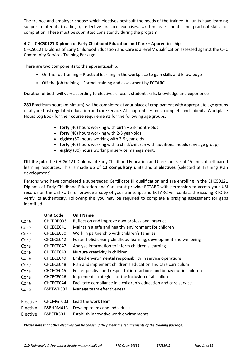The trainee and employer choose which electives best suit the needs of the trainee. All units have learning support materials (readings), reflective practice exercises, written assessments and practical skills for completion. These must be submitted consistently during the program.

#### **4.2 CHC50121 Diploma of Early Childhood Education and Care – Apprenticeship**

CHC50121 Diploma of Early Childhood Education and Care is a level V qualification assessed against the CHC Community Services Training Package.

There are two components to the apprenticeship:

- On-the-job training Practical learning in the workplace to gain skills and knowledge
- Off-the-job training Formal training and assessment by ECTARC

Duration of both will vary according to electives chosen, student skills, knowledge and experience.

**280** Practicum hours (minimum), will be completed at your place of employment with appropriate age groups or at your host regulated education and care service. ALL apprentices must complete and submit a Workplace Hours Log Book for their course requirements for the following age groups:

- **forty** (40) hours working with birth 23-month-olds
- **forty** (40) hours working with 2-3 year-olds
- **eighty** (80) hours working with 3-5 year-olds
- **forty** (40) hours working with a child/children with additional needs (any age group)
- **eighty** (80) hours working in service management.

**Off-the-job:** The CHC50121 Diploma of Early Childhood Education and Care consists of 15 units of self-paced learning resources. This is made up of **12 compulsory** units and **3 electives** (selected at Training Plan development).

Persons who have completed a superseded Certificate III qualification and are enrolling in the CHC50121 Diploma of Early Childhood Education and Care must provide ECTARC with permission to access your USI records on the USI Portal or provide a copy of your transcript and ECTARC will contact the issuing RTO to verify its authenticity. Following this you may be required to complete a bridging assessment for gaps identified.

|          | <b>Unit Code</b> | <b>Unit Name</b>                                                      |
|----------|------------------|-----------------------------------------------------------------------|
| Core     | CHCPRP003        | Reflect on and improve own professional practice                      |
| Core     | CHCECE041        | Maintain a safe and healthy environment for children                  |
| Core     | CHCECE050        | Work in partnership with children's families                          |
| Core     | CHCECE042        | Foster holistic early childhood learning, development and wellbeing   |
| Core     | CHCECE047        | Analyse information to inform children's learning                     |
| Core     | CHCECE043        | Nurture creativity in children                                        |
| Core     | CHCECE049        | Embed environmental responsibility in service operations              |
| Core     | CHCECE048        | Plan and implement children's education and care curriculum           |
| Core     | CHCECE045        | Foster positive and respectful interactions and behaviour in children |
| Core     | CHCECE046        | Implement strategies for the inclusion of all children                |
| Core     | CHCECE044        | Facilitate compliance in a children's education and care service      |
| Core     | BSBTWK502        | Manage team effectiveness                                             |
| Elective | CHCMGT003        | Lead the work team                                                    |
| Elective | BSBHRM413        | Develop teams and individuals                                         |
| Elective | BSBSTR501        | Establish innovative work environments                                |

*Please note that other electives can be chosen if they meet the requirements of the training package.*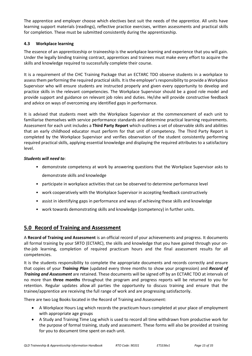The apprentice and employer choose which electives best suit the needs of the apprentice. All units have learning support materials (readings), reflective practice exercises, written assessments and practical skills for completion. These must be submitted consistently during the apprenticeship.

#### **4.3 Workplace learning**

The essence of an apprenticeship or traineeship is the workplace learning and experience that you will gain. Under the legally binding training contract, apprentices and trainees must make every effort to acquire the skills and knowledge required to successfully complete their course.

It is a requirement of the CHC Training Package that an ECTARC TDO observe students in a workplace to assessthem performing the required practical skills. It is the employer's responsibility to provide a Workplace Supervisor who will ensure students are instructed properly and given every opportunity to develop and practice skills in the relevant competencies. The Workplace Supervisor should be a good role model and provide support and guidance on relevant job roles and duties. He/she will provide constructive feedback and advice on ways of overcoming any identified gaps in performance.

It is advised that students meet with the Workplace Supervisor at the commencement of each unit to familiarise themselves with service performance standards and determine practical learning requirements. Assessment for each unit includes a **Third Party Report** which outlines a set of observable skills and abilities that an early childhood educator must perform for that unit of competency. The Third Party Report is completed by the Workplace Supervisor and verifies observation of the student consistently performing required practical skills, applying essential knowledge and displaying the required attributes to a satisfactory level.

#### *Students will need to*:

- demonstrate competency at work by answering questions that the Workplace Supervisor asks to demonstrate skills and knowledge
- participate in workplace activities that can be observed to determine performance level
- work cooperatively with the Workplace Supervisor in accepting feedback constructively
- assist in identifying gaps in performance and ways of achieving these skills and knowledge
- work towards demonstrating skills and knowledge (competency) in further units.

## **5.0 Record of Training and Assessment**

A **Record of Training and Assessment** is an official record of your achievements and progress. It documents all formal training by your SRTO (ECTARC), the skills and knowledge that you have gained through your onthe-job learning, completion of required practicum hours and the final assessment results for all competencies.

It is the students responsibility to complete the appropriate documents and records correctly and ensure that copies of your *Training Plan* (updated every three months to show your progression) and *Record of Training and Assessment* are retained. These documents will be signed off by an ECTARC TDO at intervals of no more than **three months** throughout the program and progress reports will be returned to you for retention. Regular updates allow all parties the opportunity to discuss training and ensure that the trainee/apprentice are receiving the full range of work and are progressing satisfactorily.

There are two Log Books located in the Record of Training and Assessment:

- A Workplace Hours Log which records the practicum hours completed at your place of employment with appropriate age groups
- A Study and Training Time Log which is used to record all time withdrawn from productive work for the purpose of formal training, study and assessment. These forms will also be provided at training for you to document time spent on each unit.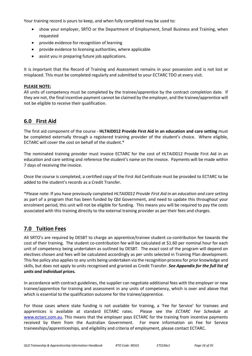Your training record is yours to keep, and when fully completed may be used to:

- show your employer, SRTO or the Department of Employment, Small Business and Training, when requested
- provide evidence for recognition of learning
- provide evidence to licensing authorities, where applicable
- assist you in preparing future job applications.

It is important that the Record of Training and Assessment remains in your possession and is not lost or misplaced. This must be completed regularly and submitted to your ECTARC TDO at every visit.

#### **PLEASE NOTE:**

All units of competency must be completed by the trainee/apprentice by the contract completion date. If they are not, the final incentive payment cannot be claimed by the employer, and the trainee/apprentice will not be eligible to receive their qualification.

### **6.0 First Aid**

The first aid component of the course - **HLTAID012 Provide First Aid in an education and care setting** must be completed externally through a registered training provider of the student's choice. Where eligible, ECTARC will cover the cost on behalf of the student.\*

The nominated training provider must invoice ECTARC for the cost of HLTAID012 Provide First Aid in an education and care setting and reference the student's name on the invoice. Payments will be made within 7 days of receiving the invoice.

Once the course is completed, a certified copy of the First Aid Certificate must be provided to ECTARC to be added to the student's records as a Credit Transfer.

\*Please note: If you have previously completed *HLTAID012 Provide First Aid in an education and care setting* as part of a program that has been funded by Qld Government, and need to update this throughout your enrolment period, this unit will not be eligible for funding. This means you will be required to pay the costs associated with this training directly to the external training provider as per their fees and charges.

## **7.0 Tuition Fees**

All SRTO's are required by DESBT to charge an apprentice/trainee student co-contribution fee towards the cost of their training. The student co-contribution fee will be calculated at \$1.60 per nominal hour for each unit of competency being undertaken as outlined by DESBT. The exact cost of the program will depend on electives chosen and fees will be calculated accordingly as per units selected in Training Plan development. This fee policy also applies to any units being undertaken via the recognition process for prior knowledge and skills, but does not apply to units recognised and granted as Credit Transfer. *See Appendix for the full list of units and individual prices.*

In accordance with contract guidelines, the supplier can negotiate additional fees with the employer or new trainee/apprentice for training and assessment in any units of competency, which is over and above that which is essential to the qualification outcome for the trainee/apprentice.

For those cases where state funding is not available for training, a 'Fee for Service' for trainees and apprentices is available at standard ECTARC rates. Please see the *ECTARC Fee Schedule* at [www.ectarc.com.au.](http://www.ectarc.com.au/) This means that the employer pays ECTARC for the training from incentive payments received by them from the Australian Government. For more information on Fee for Service traineeships/apprenticeships, and eligibility and criteria of employment, please contact ECTARC.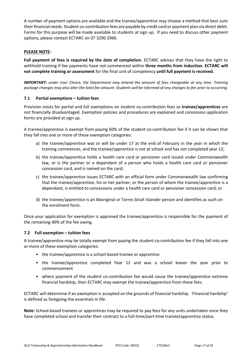A number of payment options are available and the trainee/apprentice may choose a method that best suits their financial needs. Student co-contribution fees are payable by credit card or payment plan via direct debit. Forms for this purpose will be made available to students at sign up. If you need to discuss other payment options, please contact ECTARC on 07 3290 2966.

#### **PLEASE NOTE:**

**Full payment of fees is required by the date of completion.** ECTARC advises that they have the right to withhold training if fee payments have not commenced within **three months from induction. ECTARC will not complete training or assessment** for the final unit of competency **until full payment is received.**

*IMPORTANT: under User Choice, the Department may amend the amount of fees chargeable at any time. Training package changes may also alter the total fee amount. Students will be informed of any changes to fee prior to occurring.*

#### **7.1 Partial exemptions – tuition fees**

Provision exists for partial and full exemptions on student co-contribution fees so **trainee/apprentices** are not financially disadvantaged. Exemption policies and procedures are explained and concession application forms are provided at sign up.

A trainee/apprentice is exempt from paying 60% of the student co-contribution fee if it can be shown that they fall into one or more of these exemption categories:

- a) the trainee/apprentice was or will be under 17 at the end of February in the year in which the training commences, and the trainee/apprentice is not at school and has not completed year 12;
- b) the trainee/apprentice holds a health care card or pensioner card issued under Commonwealth law, or is the partner or a dependant of a person who holds a health care card or pensioner concession card, and is named on the card;
- c) the trainee/apprentice issues ECTARC with an official form under Commonwealth law confirming that the trainee/apprentice, his or her partner, or the person of whom the trainee/apprentice is a dependant, is entitled to concessions under a health care card or pensioner concession card; or
- d) the trainee/apprentice is an Aboriginal or Torres Strait Islander person and identifies as such on the enrolment form.

Once your application for exemption is approved the trainee/apprentice is responsible for the payment of the remaining 40% of the fee owing.

#### **7.2 Full exemption – tuition fees**

A trainee/apprentice may be totally exempt from paying the student co-contribution fee if they fall into one or more of these exemption categories:

- the trainee/apprentice is a school-based trainee or apprentice
- the trainee/apprentice completed Year 12 and was a school leaver the year prior to commencement
- where payment of the student co-contribution fee would cause the trainee/apprentice extreme financial hardship, then ECTARC may exempt the trainee/apprentice from these fees.

ECTARC will determine if an exemption is accepted on the grounds of financial hardship. 'Financial hardship' is defined as foregoing the essentials in life.

**Note:** School-based trainees or apprentices may be required to pay fees for any units undertaken once they have completed school and transfer their contract to a full-time/part-time trainee/apprentice status.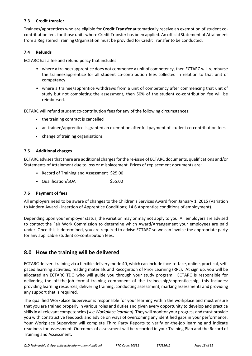#### **7.3 Credit transfer**

Trainees/apprentices who are eligible for **Credit Transfer** automatically receive an exemption of student cocontribution fees for those units where Credit Transfer has been applied. An official Statement of Attainment from a Registered Training Organisation must be provided for Credit Transfer to be conducted.

#### **7.4 Refunds**

ECTARC has a fee and refund policy that includes:

- where a trainee/apprentice does not commence a unit of competency, then ECTARC will reimburse the trainee/apprentice for all student co-contribution fees collected in relation to that unit of competency
- where a trainee/apprentice withdraws from a unit of competency after commencing that unit of study but not completing the assessment, then 50% of the student co-contribution fee will be reimbursed.

ECTARC will refund student co-contribution fees for any of the following circumstances:

- the training contract is cancelled
- an trainee/apprentice is granted an exemption after full payment of student co-contribution fees
- change of training organisations

#### **7.5 Additional charges**

ECTARC advises that there are additional charges for the re-issue of ECTARC documents, qualifications and/or Statements of Attainment due to loss or misplacement. Prices of replacement documents are:

- Record of Training and Assessment \$25.00
- Qualification/SOA \$55.00

#### **7.6 Payment of fees**

All employers need to be aware of changes to the Children's Services Award from January 1, 2015 (Variation to Modern Award - insertion of Apprentice Conditions; 14.6 Apprentice conditions of employment).

Depending upon your employer status, the variation may or may not apply to you. All employers are advised to contact the Fair Work Commission to determine which Award/Arrangement your employees are paid under. Once this is determined, you are required to advise ECTARC so we can invoice the appropriate party for any applicable student co-contribution fees.

## **8.0 How the training will be delivered**

ECTARC delivers training via a flexible delivery mode 40, which can include face-to-face, online, practical, selfpaced learning activities, reading materials and Recognition of Prior Learning (RPL). At sign up, you will be allocated an ECTARC TDO who will guide you through your study program. ECTARC is responsible for delivering the off-the-job formal training component of the traineeship/apprenticeship, this includes: providing learning resources, delivering training, conducting assessment, marking assessments and providing any support that is required.

The qualified Workplace Supervisor is responsible for your learning within the workplace and must ensure that you are trained properly in various roles and duties and given every opportunity to develop and practice skills in allrelevant competencies (*see Workplace learning).* They will monitor your progress and must provide you with constructive feedback and advice on ways of overcoming any identified gaps in your performance. Your Workplace Supervisor will complete Third Party Reports to verify on-the-job learning and indicate readiness for assessment. Outcomes of assessment will be recorded in your Training Plan and the Record of Training and Assessment.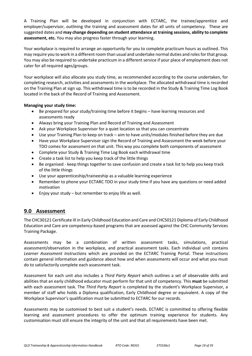A Training Plan will be developed in conjunction with ECTARC, the trainee/apprentice and employer/supervisor, outlining the training and assessment dates for all units of competency. These are suggested dates and **may change depending on student attendance at training sessions, ability to complete assessment, etc.** You may also progress faster through your learning.

Your workplace is required to arrange an opportunity for you to complete practicum hours as outlined. This may require you to work in a different room than usual and undertake normal duties and rolesfor that group. You may also be required to undertake practicum in a different service if your place of employment does not cater for all required ages/groups.

Your workplace will also allocate you study time, as recommended according to the course undertaken, for completing research, activities and assessments in the workplace. The allocated withdrawal time is recorded on the Training Plan at sign up. This withdrawal time is to be recorded in the Study & Training Time Log Book located in the back of the Record of Training and Assessment.

#### **Managing your study time:**

- Be prepared for your study/training time before it begins have learning resources and assessments ready
- Always bring your Training Plan and Record of Training and Assessment
- Ask your Workplace Supervisor for a quiet location so that you can concentrate
- Use your Training Plan to keep on track aim to have units/modules finished before they are due
- Have your Workplace Supervisor sign the Record of Training and Assessment the week before your TDO comes for assessment on that unit. This way you complete both components of assessment
- Complete your Study & Training Time Log Book each withdrawal time
- Create a task list to help you keep track of the little things
- Be organised keep things together to save confusion and create a task list to help you keep track of the little things
- Use your apprenticeship/traineeship as a valuable learning experience
- Remember to phone your ECTARC TDO in your study time if you have any questions or need added motivation
- Enjoy your study but remember to enjoy life as well.

## **9.0 Assessment**

The CHC30121 Certificate III in Early Childhood Education and Care and CHC50121 Diploma of Early Childhood Education and Care are competency-based programs that are assessed against the CHC Community Services Training Package.

Assessments may be a combination of written assessment tasks, simulations, practical assessment/observation in the workplace, and practical assessment tasks. Each individual unit contains *Learner Assessment Instructions* which are provided on the ECTARC Training Portal. These instructions contain general information and guidance about how and when assessments will occur and what you must do to satisfactorily complete each assessment task.

Assessment for each unit also includes a *Third Party Report* which outlines a set of observable skills and abilities that an early childhood educator must perform for that unit of competency. This **must** be submitted with each assessment task. The *Third Party Report* is completed by the student's Workplace Supervisor, a member of staff who holds a Diploma qualification, Early Childhood degree or equivalent. A copy of the Workplace Supervisor's qualification must be submitted to ECTARC for our records.

Assessments may be customised to best suit a student's needs. ECTARC is committed to offering flexible learning and assessment procedures to offer the optimum training experience for students. Any customisation must still ensure the integrity of the unit and that all requirements have been met.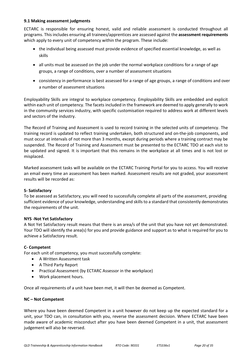#### **9.1 Making assessment judgments**

ECTARC is responsible for ensuring honest, valid and reliable assessment is conducted throughout all programs. This includes ensuring all trainees/apprentices are assessed against the **assessment requirements**  which apply to every unit of competency within the program. These include:

- the individual being assessed must provide evidence of specified essential knowledge, as well as skills
- all units must be assessed on the job under the normal workplace conditions for a range of age groups, a range of conditions, over a number of assessment situations
- consistency in performance is best assessed for a range of age groups, a range of conditions and over a number of assessment situations

Employability Skills are integral to workplace competency. Employability Skills are embedded and explicit within each unit of competency. The facets included in the framework are deemed to apply generally to work in the community services industry, with specific customisation required to address work at different levels and sectors of the industry.

The Record of Training and Assessment is used to record training in the selected units of competency. The training record is updated to reflect training undertaken, both structured and on-the-job components, and must occur at intervals of not more than 3 months, except during periods where a training contract may be suspended. The Record of Training and Assessment must be presented to the ECTARC TDO at each visit to be updated and signed. It is important that this remains in the workplace at all times and is not lost or misplaced.

Marked assessment tasks will be available on the ECTARC Training Portal for you to access. You will receive an email every time an assessment has been marked. Assessment results are not graded, your assessment results will be recorded as:

#### **S- Satisfactory**

To be assessed as Satisfactory, you will need to successfully complete all parts of the assessment, providing sufficient evidence of your knowledge, understanding and skills to a standard that consistently demonstrates the requirements of the unit.

#### **NYS -Not Yet Satisfactory**

A Not Yet Satisfactory result means that there is an area/s of the unit that you have not yet demonstrated. Your TDO will identify the area(s) for you and provide guidance and support as to what is required for you to achieve a Satisfactory result.

#### **C- Competent**

For each unit of competency, you must successfully complete:

- A Written Assessment task
- A Third Party Report
- Practical Assessment (by ECTARC Assessor in the workplace)
- Work placement hours.

Once all requirements of a unit have been met, it will then be deemed as Competent.

#### **NC – Not Competent**

Where you have been deemed Competent in a unit however do not keep up the expected standard for a unit, your TDO can, in consultation with you, reverse the assessment decision. Where ECTARC have been made aware of academic misconduct after you have been deemed Competent in a unit, that assessment judgement will also be reversed.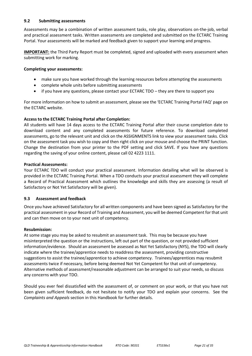#### **9.2 Submitting assessments**

Assessments may be a combination of written assessment tasks, role play, observations on-the-job, verbal and practical assessment tasks. Written assessments are completed and submitted on the ECTARC Training Portal. Your assessments will be marked and feedback given to support your learning and progress.

**IMPORTANT:** the Third Party Report must be completed, signed and uploaded with every assessment when submitting work for marking*.*

#### **Completing your assessments:**

- make sure you have worked through the learning resources before attempting the assessments
- complete whole units before submitting assessments
- if you have any questions, please contact your ECTARC TDO they are there to support you

For more information on how to submit an assessment, please see the 'ECTARC Training Portal FAQ' page on the ECTARC website.

#### **Access to the ECTARC Training Portal after Completion:**

All students will have 14 days access to the ECTARC Training Portal after their course completion date to download content and any completed assessments for future reference. To download completed assessments, go to the relevant unit and click on the ASSIGNMENTS link to view your assessment tasks. Click on the assessment task you wish to copy and then right click on your mouse and choose the PRINT function. Change the destination from your printer to the PDF setting and click SAVE. If you have any questions regarding the saving of your online content, please call 02 4223 1111.

#### **Practical Assessments:**

Your ECTARC TDO will conduct your practical assessment. Information detailing what will be observed is provided in the ECTARC Training Portal. When a TDO conducts your practical assessment they will complete a Record of Practical Assessment which outlines the knowledge and skills they are assessing (a result of Satisfactory or Not Yet Satisfactory will be given).

#### **9.3 Assessment and feedback**

Once you have achieved Satisfactory for all written components and have been signed as Satisfactory for the practical assessment in your Record of Training and Assessment, you will be deemed Competent for that unit and can then move on to your next unit of competency.

#### **Resubmission:**

At some stage you may be asked to resubmit an assessment task. This may be because you have misinterpreted the question or the instructions, left out part of the question, or not provided sufficient information/evidence. Should an assessment be assessed as Not Yet Satisfactory (NYS), the TDO will clearly indicate where the trainee/apprentice needs to readdress the assessment, providing constructive suggestions to assist the trainee/apprentice to achieve competency. Trainees/apprentices may resubmit assessments twice if necessary, before being deemed Not Yet Competent for that unit of competency. Alternative methods of assessment/reasonable adjustment can be arranged to suit your needs, so discuss any concerns with your TDO.

Should you ever feel dissatisfied with the assessment of, or comment on your work, or that you have not been given sufficient feedback, do not hesitate to notify your TDO and explain your concerns. See the *Complaints and Appeals* section in this Handbook for further details.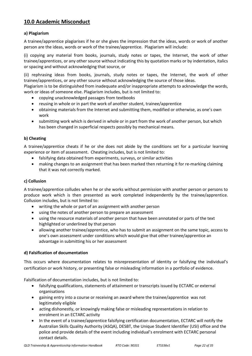## **10.0 Academic Misconduct**

#### **a) Plagiarism**

A trainee/apprentice plagiarises if he or she gives the impression that the ideas, words or work of another person are the ideas, words or work of the trainee/apprentice. Plagiarism will include:

(i) copying any material from books, journals, study notes or tapes, the Internet, the work of other trainee/apprentices, or any other source without indicating this by quotation marks or by indentation, italics or spacing and without acknowledging that source, or

(ii) rephrasing ideas from books, journals, study notes or tapes, the Internet, the work of other trainee/apprentices, or any other source without acknowledging the source of those ideas.

Plagiarism is to be distinguished from inadequate and/or inappropriate attempts to acknowledge the words, work or ideas of someone else. Plagiarism includes, but is not limited to:

- copying unacknowledged passages from textbooks
- reusing in whole or in part the work of another student, trainee/apprentice
- obtaining materials from the Internet and submitting them, modified or otherwise, as one's own work
- submitting work which is derived in whole or in part from the work of another person, but which has been changed in superficial respects possibly by mechanical means.

#### **b) Cheating**

A trainee/apprentice cheats if he or she does not abide by the conditions set for a particular learning experience or item of assessment. Cheating includes, but is not limited to:

- falsifying data obtained from experiments, surveys, or similar activities
- making changes to an assignment that has been marked then returning it for re-marking claiming that it was not correctly marked.

#### **c) Collusion**

A trainee/apprentice colludes when he or she works without permission with another person or persons to produce work which is then presented as work completed independently by the trainee/apprentice. Collusion includes, but is not limited to:

- writing the whole or part of an assignment with another person
- using the notes of another person to prepare an assessment
- using the resource materials of another person that have been annotated or parts of the text highlighted or underlined by that person
- allowing another trainee/apprentice, who has to submit an assignment on the same topic, access to one's own assessment under conditions which would give that other trainee/apprentice an advantage in submitting his or her assessment

#### **d) Falsification of documentation**

This occurs where documentation relates to misrepresentation of identity or falsifying the individual's certification or work history, or presenting false or misleading information in a portfolio of evidence.

Falsification of documentation includes, but is not limited to:

- falsifying qualifications, statements of attainment or transcripts issued by ECTARC or external organisations
- gaining entry into a course or receiving an award where the trainee/apprentice was not legitimately eligible
- acting dishonestly, or knowingly making false or misleading representations in relation to enrolment in an ECTARC activity
- In the event of a trainee/apprentice falsifying certification documentation, ECTARC will notify the Australian Skills Quality Authority (ASQA), DESBT, the Unique Student Identifier (USI) office and the police and provide details of the event including individual's enrolment with ECTARC personal contact details.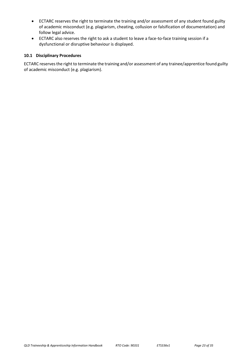- ECTARC reserves the right to terminate the training and/or assessment of any student found guilty of academic misconduct (e.g. plagiarism, cheating, collusion or falsification of documentation) and follow legal advice.
- ECTARC also reserves the right to ask a student to leave a face-to-face training session if a dysfunctional or disruptive behaviour is displayed.

#### **10.1 Disciplinary Procedures**

ECTARC reserves the right to terminate the training and/or assessment of any trainee/apprentice found guilty of academic misconduct (e.g. plagiarism).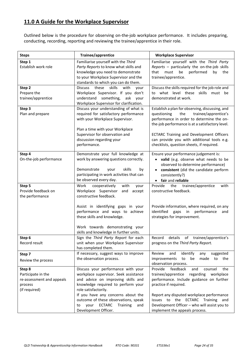## **11.0 A Guide for the Workplace Supervisor**

Outlined below is the procedure for observing on-the-job workplace performance. It includes preparing, conducting, recording, reporting and reviewing the trainee/apprentice in their role.

| <b>Steps</b>                                                                          | Trainee/apprentice                                                                                                                                                                                                                                                                                                                      | <b>Workplace Supervisor</b>                                                                                                                                                                                                                                                                                                           |
|---------------------------------------------------------------------------------------|-----------------------------------------------------------------------------------------------------------------------------------------------------------------------------------------------------------------------------------------------------------------------------------------------------------------------------------------|---------------------------------------------------------------------------------------------------------------------------------------------------------------------------------------------------------------------------------------------------------------------------------------------------------------------------------------|
| Step 1<br>Establish work role                                                         | Familiarise yourself with the Third<br>Party Reports to know what skills and<br>knowledge you need to demonstrate<br>to your Workplace Supervisor and the<br>standards to which you can do them.                                                                                                                                        | Familiarise yourself with the Third Party<br>Reports - particularly the on-the-job skills<br>that<br>must<br>be<br>performed<br>by<br>the<br>trainee/apprentice.                                                                                                                                                                      |
| Step 2<br>Prepare the<br>trainee/apprentice                                           | Discuss these<br>skills<br>with<br>your<br>Workplace Supervisor. If you don't<br>understand something,<br>ask<br>your<br>Workplace Supervisor for clarification.                                                                                                                                                                        | Discuss the skills required for the job role and<br>to what level these skills must be<br>demonstrated at work.                                                                                                                                                                                                                       |
| Step 3<br>Plan and prepare                                                            | Discuss your understanding of what is<br>required for satisfactory performance<br>with your Workplace Supervisor.<br>Plan a time with your Workplace<br>Supervisor for observation and<br>discussion regarding your<br>performance.                                                                                                     | Establish a plan for observing, discussing, and<br>trainee/apprentice's<br>questioning<br>the<br>performance in order to determine the on-<br>the-job performance is at a satisfactory level.<br>ECTARC Training and Development Officers<br>can provide you with additional tools e.g.<br>checklists, question sheets, if required.  |
| Step 4<br>On-the-job performance                                                      | Demonstrate your full knowledge at<br>work by answering questions correctly.<br>skills<br>Demonstrate<br>your<br>by<br>participating in work activities that can<br>be observed every day.                                                                                                                                              | Ensure your performance judgement is:<br>valid (e.g. observe what needs to be<br>observed to determine performance)<br>consistent (did the candidate perform<br>consistently?)<br>• fair and reliable                                                                                                                                 |
| Step 5<br>Provide feedback on<br>the performance                                      | cooperatively<br>Work<br>with<br>your<br>Workplace Supervisor<br>and<br>accept<br>constructive feedback.                                                                                                                                                                                                                                | Provide<br>the<br>trainee/apprentice<br>with<br>constructive feedback.                                                                                                                                                                                                                                                                |
|                                                                                       | Assist in identifying gaps in your<br>performance and ways to achieve<br>these skills and knowledge.<br>Work towards demonstrating your                                                                                                                                                                                                 | Provide information, where required, on any<br>identified<br>gaps in<br>performance<br>and<br>strategies for improvement.                                                                                                                                                                                                             |
| Step 6<br>Record result                                                               | skills and knowledge in further units.<br>Sign the Third Party Report for each<br>unit when your Workplace Supervisor<br>has completed them.                                                                                                                                                                                            | details<br>trainee/apprentice's<br>Record<br>οf<br>progress on the Third Party Report.                                                                                                                                                                                                                                                |
| Step 7<br>Review the process                                                          | If necessary, suggest ways to improve<br>the observation process.                                                                                                                                                                                                                                                                       | Review<br>identify<br>suggested<br>and<br>any<br>made<br>to the<br>improvements<br>to<br>be<br>observation process.                                                                                                                                                                                                                   |
| Step 8<br>Participate in the<br>re-assessment and appeals<br>process<br>(if required) | Discuss your performance with your<br>workplace supervisor. Seek assistance<br>and advice on improving skills and<br>knowledge required to perform your<br>role satisfactorily.<br>If you have any concerns about the<br>outcome of these observations, speak<br><b>ECTARC</b><br>your<br>Training<br>and<br>to<br>Development Officer. | Provide<br>feedback<br>the<br>counsel<br>and<br>trainee/apprentice<br>regarding<br>workplace<br>performance. Include guidance on further<br>practice if required.<br>Report any disputed workplace performance<br>issues to the ECTARC Training and<br>Development Officer - who will assist you to<br>implement the appeals process. |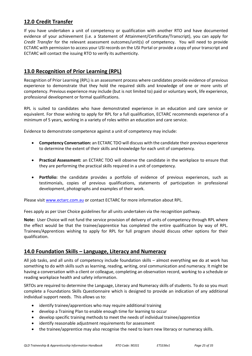## **12.0 Credit Transfer**

If you have undertaken a unit of competency or qualification with another RTO and have documented evidence of your achievement (i.e. a Statement of Attainment/Certificate/Transcript), you can apply for *Credit Transfer* for the relevant assessment outcomes/unit(s) of competency. You will need to provide ECTARC with permission to access your USI records on the USI Portal or provide a copy of your transcript and ECTARC will contact the issuing RTO to verify its authenticity.

## **13.0 Recognition of Prior Learning (RPL)**

Recognition of Prior Learning (RPL) is an assessment process where candidates provide evidence of previous experience to demonstrate that they hold the required skills and knowledge of one or more units of competency. Previous experience may include (but is not limited to) paid or voluntary work, life experience, professional development or formal qualifications.

RPL is suited to candidates who have demonstrated experience in an education and care service or equivalent. For those wishing to apply for RPL for a full qualification, ECTARC recommends experience of a minimum of 5 years, working in a variety of roles within an education and care service.

Evidence to demonstrate competence against a unit of competency may include:

- **Competency Conversation:** an ECTARC TDO will discuss with the candidate their previous experience to determine the extent of their skills and knowledge for each unit of competency.
- **Practical Assessment:** an ECTARC TDO will observe the candidate in the workplace to ensure that they are performing the practical skills required in a unit of competency.
- **Portfolio:** the candidate provides a portfolio of evidence of previous experiences, such as testimonials, copies of previous qualifications, statements of participation in professional development, photographs and examples of their work.

Please visit [www.ectarc.com.au](http://www.ectarc.com.au/) or contact ECTARC for more information about RPL.

Fees apply as per User Choice guidelines for all units undertaken via the recognition pathway.

**Note:** User Choice will not fund the service provision of delivery of units of competency through RPL where the effect would be that the trainee/apprentice has completed the entire qualification by way of RPL. Trainees/Apprentices wishing to apply for RPL for full program should discuss other options for their qualification.

## **14.0 Foundation Skills – Language, Literacy and Numeracy**

All job tasks, and all units of competency include foundation skills – almost everything we do at work has something to do with skills such as learning, reading, writing, oral communication and numeracy. It might be having a conversation with a client or colleague, completing an observation record, working to a schedule or reading workplace health and safety information.

SRTOs are required to determine the Language, Literacy and Numeracy skills of students. To do so you must complete a Foundations Skills Questionnaire which is designed to provide an indication of any additional individual support needs. This allows us to:

- identify trainee/apprentices who may require additional training
- develop a Training Plan to enable enough time for learning to occur
- develop specific training methods to meet the needs of individual trainee/apprentice
- identify reasonable adjustment requirements for assessment
- the trainee/apprentice may also recognise the need to learn new literacy or numeracy skills.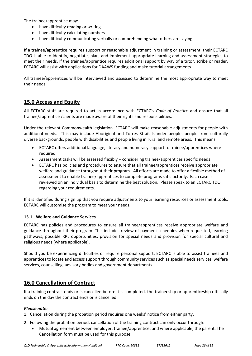The trainee/apprentice may:

- have difficulty reading or writing
- have difficulty calculating numbers
- have difficulty communicating verbally or comprehending what others are saying

If a trainee/apprentice requires support or reasonable adjustment in training or assessment, their ECTARC TDO is able to identify, negotiate, plan, and implement appropriate learning and assessment strategies to meet their needs. If the trainee/apprentice requires additional support by way of a tutor, scribe or reader, ECTARC will assist with applications for DAAWS funding and make tutorial arrangements.

All trainee/apprentices will be interviewed and assessed to determine the most appropriate way to meet their needs.

## **15.0 Access and Equity**

All ECTARC staff are required to act in accordance with ECTARC's *Code of Practice* and ensure that all trainee/apprentice /clients are made aware of their rights and responsibilities.

Under the relevant Commonwealth legislation*,* ECTARC will make reasonable adjustments for people with additional needs. This may include Aboriginal and Torres Strait Islander people, people from culturally diverse backgrounds, people with disabilities and people living in rural and remote areas. This means:

- ECTARC offers additional language, literacy and numeracy support to trainee/apprentices where required
- Assessment tasks will be assessed flexibly considering trainee/apprentices specific needs
- ECTARC has policies and procedures to ensure that all trainee/apprentices receive appropriate welfare and guidance throughout their program. All efforts are made to offer a flexible method of assessment to enable trainee/apprentices to complete programs satisfactorily. Each case is reviewed on an individual basis to determine the best solution. Please speak to an ECTARC TDO regarding your requirements.

If it is identified during sign up that you require adjustments to your learning resources or assessment tools, ECTARC will customise the program to meet your needs.

#### **15.1 Welfare and Guidance Services**

ECTARC has policies and procedures to ensure all trainee/apprentices receive appropriate welfare and guidance throughout their program. This includes review of payment schedules when requested, learning pathways, possible RPL opportunities, provision for special needs and provision for special cultural and religious needs (where applicable).

Should you be experiencing difficulties or require personal support, ECTARC is able to assist trainees and apprentices to locate and access support through community services such as special needs services, welfare services, counselling, advisory bodies and government departments.

## **16.0 Cancellation of Contract**

If a training contract ends or is cancelled before it is completed, the traineeship or apprenticeship officially ends on the day the contract ends or is cancelled.

#### *Please note:*

- 1. Cancellation during the probation period requires one weeks' notice from either party.
- 2. Following the probation period, cancellation of the training contract can only occur through:
	- Mutual agreement between employer, trainee/apprentice, and where applicable, the parent. The Cancellation form must be used for this purpose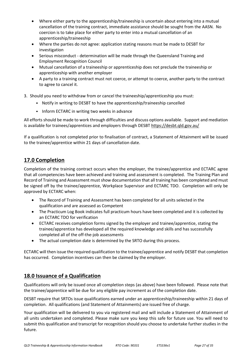- Where either party to the apprenticeship/traineeship is uncertain about entering into a mutual cancellation of the training contract, immediate assistance should be sought from the AASN. No coercion is to take place for either party to enter into a mutual cancellation of an apprenticeship/traineeship
- Where the parties do not agree: application stating reasons must be made to DESBT for investigation
- Serious misconduct determination will be made through the Queensland Training and Employment Recognition Council
- Mutual cancellation of a traineeship or apprenticeship does not preclude the traineeship or apprenticeship with another employer
- A party to a training contract must not coerce, or attempt to coerce, another party to the contract to agree to cancel it.

3. Should you need to withdraw from or cancel the traineeship/apprenticeship you must:

- Notify in writing to DESBT to have the apprenticeship/traineeship cancelled
- Inform ECTARC in writing two weeks in advance

All efforts should be made to work through difficulties and discuss options available. Support and mediation is available for trainees/apprentices and employers through DESBT <https://desbt.qld.gov.au/>

If a qualification is not completed prior to finalisation of contract, a Statement of Attainment will be issued to the trainee/apprentice within 21 days of cancellation date.

## **17.0 Completion**

Completion of the training contract occurs when the employer, the trainee/apprentice and ECTARC agree that all competencies have been achieved and training and assessment is completed. The Training Plan and Record of Training and Assessment must show documentation that all training has been completed and must be signed off by the trainee/apprentice, Workplace Supervisor and ECTARC TDO. Completion will only be approved by ECTARC when:

- The Record of Training and Assessment has been completed for all units selected in the qualification and are assessed as Competent
- The Practicum Log Book indicates full practicum hours have been completed and it is collected by an ECTARC TDO for verification
- ECTARC receives completion forms signed by the employer and trainee/apprentice, stating the trainee/apprentice has developed all the required knowledge and skills and has successfully completed all of the off-the-job assessments
- The actual completion date is determined by the SRTO during this process.

ECTARC will then issue the required qualification to the trainee/apprentice and notify DESBT that completion has occurred. Completion incentives can then be claimed by the employer.

## **18.0 Issuance of a Qualification**

Qualifications will only be issued once all completion steps (as above) have been followed. Please note that the trainee/apprentice will be due for any eligible pay increment as of the completion date.

DESBT require that SRTOs issue qualifications earned under an apprenticeship/traineeship within 21 days of completion. All qualifications (and Statement of Attainments) are issued free of charge.

Your qualification will be delivered to you via registered mail and will include a Statement of Attainment of all units undertaken and completed. Please make sure you keep this safe for future use. You will need to submit this qualification and transcript for recognition should you choose to undertake further studies in the future.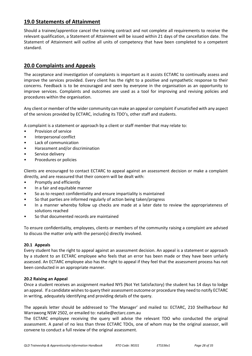## **19.0 Statements of Attainment**

Should a trainee/apprentice cancel the training contract and not complete all requirements to receive the relevant qualification, a Statement of Attainment will be issued within 21 days of the cancellation date. The Statement of Attainment will outline all units of competency that have been completed to a competent standard.

## **20.0 Complaints and Appeals**

The acceptance and investigation of complaints is important as it assists ECTARC to continually assess and improve the services provided. Every client has the right to a positive and sympathetic response to their concerns. Feedback is to be encouraged and seen by everyone in the organisation as an opportunity to improve services. Complaints and outcomes are used as a tool for improving and revising policies and procedures within the organisation.

Any client or member of the wider community can make an appeal or complaint if unsatisfied with any aspect of the services provided by ECTARC, including its TDO's, other staff and students.

A complaint is a statement or approach by a client or staff member that may relate to:

- Provision of service
- Interpersonal conflict
- Lack of communication
- Harassment and/or discrimination
- Service delivery
- Procedures or policies

Clients are encouraged to contact ECTARC to appeal against an assessment decision or make a complaint directly, and are reassured that their concern will be dealt with:

- Promptly and efficiently
- In a fair and equitable manner
- So as to respect confidentiality and ensure impartiality is maintained
- So that parties are informed regularly of action being taken/progress
- In a manner whereby follow up checks are made at a later date to review the appropriateness of solutions reached
- So that documented records are maintained

To ensure confidentiality, employees, clients or members of the community raising a complaint are advised to discuss the matter only with the person(s) directly involved.

#### **20.1 Appeals**

Every student has the right to appeal against an assessment decision. An appeal is a statement or approach by a student to an ECTARC employee who feels that an error has been made or they have been unfairly assessed. An ECTARC employee also has the right to appeal if they feel that the assessment process has not been conducted in an appropriate manner.

#### **20.2 Raising an Appeal**

Once a student receives an assignment marked NYS (Not Yet Satisfactory) the student has 14 days to lodge an appeal. If a candidate wishes to query their assessment outcome or procedure they need to notify ECTARC in writing, adequately identifying and providing details of the query.

The appeals letter should be addressed to 'The Manager' and mailed to: ECTARC, 210 Shellharbour Rd Warrawong NSW 2502, or emailed to: natalie@ectarc.com.au

The ECTARC employee receiving the query will advise the relevant TDO who conducted the original assessment. A panel of no less than three ECTARC TDOs, one of whom may be the original assessor, will convene to conduct a full review of the original assessment.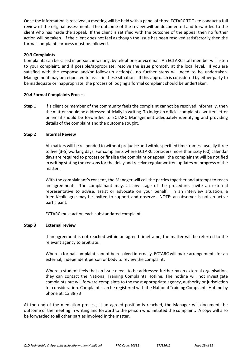Once the information is received, a meeting will be held with a panel of three ECTARC TDOs to conduct a full review of the original assessment. The outcome of the review will be documented and forwarded to the client who has made the appeal. If the client is satisfied with the outcome of the appeal then no further action will be taken. If the client does not feel as though the issue has been resolved satisfactorily then the formal complaints process must be followed.

#### **20.3 Complaints**

Complaints can be raised in person, in writing, by telephone or via email. An ECTARC staff member will listen to your complaint, and if possible/appropriate, resolve the issue promptly at the local level. If you are satisfied with the response and/or follow-up action(s), no further steps will need to be undertaken. Management may be requested to assist in these situations. If this approach is considered by either party to be inadequate or inappropriate, the process of lodging a formal complaint should be undertaken.

#### **20.4 Formal Complaints Process**

**Step 1** If a client or member of the community feels the complaint cannot be resolved informally, then the matter should be addressed officially in writing. To lodge an official complaint a written letter or email should be forwarded to ECTARC Management adequately identifying and providing details of the complaint and the outcome sought.

#### **Step 2 Internal Review**

All matters will be responded to without prejudice and within specified time frames - usually three to five (3-5) working days. For complaints where ECTARC considers more than sixty (60) calendar days are required to process or finalise the complaint or appeal, the complainant will be notified in writing stating the reasons for the delay and receive regular written updates on progress of the matter.

With the complainant's consent, the Manager will call the parties together and attempt to reach an agreement. The complainant may, at any stage of the procedure, invite an external representative to advise, assist or advocate on your behalf. In an interview situation, a friend/colleague may be invited to support and observe. NOTE: an observer is not an active participant.

ECTARC must act on each substantiated complaint.

#### **Step 3 External review**

If an agreement is not reached within an agreed timeframe, the matter will be referred to the relevant agency to arbitrate.

Where a formal complaint cannot be resolved internally, ECTARC will make arrangements for an external, independent person or body to review the complaint.

Where a student feels that an issue needs to be addressed further by an external organisation, they can contact the National Training Complaints Hotline. The hotline will not investigate complaints but will forward complaints to the most appropriate agency, authority or jurisdiction for consideration. Complaints can be registered with the National Training Complaints Hotline by phone at: 13 38 73

At the end of the mediation process, if an agreed position is reached, the Manager will document the outcome of the meeting in writing and forward to the person who initiated the complaint. A copy will also be forwarded to all other parties involved in the matter.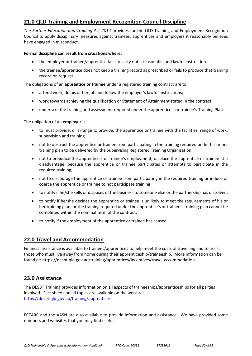## **21.0 QLD Training and Employment Recognition Council Discipline**

*The Further Education and Training Act 2014* provides for the QLD Training and Employment Recognition Council to apply disciplinary measures against trainees, apprentices and employers it reasonably believes have engaged in misconduct.

#### **Formal discipline can result from situations where:**

- the employer or trainee/apprentice fails to carry out a reasonable and lawful instruction
- the trainee/apprentice does not keep a training record as prescribed or fails to produce that training record on request.

The obligations of an **apprentice or trainee** under a registered training contract are to:

- attend work, do his or her job and follow the employer's lawful instructions;
- work towards achieving the qualification or Statement of Attainment stated in the contract;
- undertake the training and assessment required under the apprentice's or trainee's Training Plan.

The obligation of an **employer** is:

- to must provide, or arrange to provide, the apprentice or trainee with the facilities, range of work, supervision and training
- not to obstruct the apprentice or trainee from participating in the training required under his or her training plan to be delivered by the Supervising Registered Training Organisation
- not to prejudice the apprentice's or trainee's employment, or place the apprentice or trainee at a disadvantage, because the apprentice or trainee participates or attempts to participate in the required training;
- not to discourage the apprentice or trainee from participating in the required training or induce or coerce the apprentice or trainee to not participate training
- to notify if he/she sells or disposes of the business to someone else or the partnership has dissolved;
- to notify if he/she decides the apprentice or trainee is unlikely to meet the requirements of his or her training plan; or the training required under the apprentice's or trainee's training plan cannot be completed within the nominal term of the contract;
- to notify if the employment of the apprentice or trainee has ceased.

## **22.0 Travel and Accommodation**

Financial assistance is available to trainees/apprentices to help meet the costs of travelling and to assist those who must live away from home during their apprenticeship/traineeship. More information can be found at: <https://desbt.qld.gov.au/training/apprentices/incentives/travel-accommodation>

## **23.0 Assistance**

The DESBT Training provides information on all aspects of traineeships/apprenticeships for all parties involved. Fact sheets on all topics are available on the website: <https://desbt.qld.gov.au/training/apprentices>

ECTARC and the AASN are also available to provide information and assistance. We have provided some numbers and websites that you may find useful.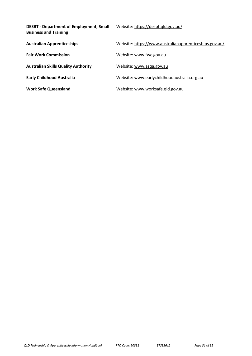| <b>DESBT - Department of Employment, Small</b><br><b>Business and Training</b> | Website: https://desbt.qld.gov.au/                     |
|--------------------------------------------------------------------------------|--------------------------------------------------------|
| <b>Australian Apprenticeships</b>                                              | Website: https://www.australianapprenticeships.gov.au/ |
| <b>Fair Work Commission</b>                                                    | Website: www.fwc.gov.au                                |
| <b>Australian Skills Quality Authority</b>                                     | Website: www.asqa.gov.au                               |
| <b>Early Childhood Australia</b>                                               | Website: www.earlychildhoodaustralia.org.au            |
| <b>Work Safe Queensland</b>                                                    | Website: www.worksafe.gld.gov.au                       |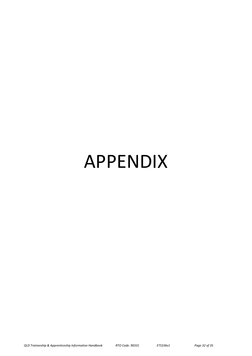# APPENDIX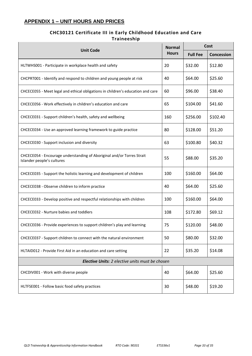## **APPENDIX 1 – UNIT HOURS AND PRICES**

### **CHC30121 Certificate III in Early Childhood Education and Care Traineeship**

| <b>Unit Code</b>                                                                                     |     | Cost            |            |
|------------------------------------------------------------------------------------------------------|-----|-----------------|------------|
|                                                                                                      |     | <b>Full Fee</b> | Concession |
| HLTWHS001 - Participate in workplace health and safety                                               | 20  | \$32.00         | \$12.80    |
| CHCPRT001 - Identify and respond to children and young people at risk                                | 40  | \$64.00         | \$25.60    |
| CHCECE055 - Meet legal and ethical obligations in children's education and care                      | 60  | \$96.00         | \$38.40    |
| CHCECE056 - Work effectively in children's education and care                                        | 65  | \$104.00        | \$41.60    |
| CHCECE031 - Support children's health, safety and wellbeing                                          | 160 | \$256.00        | \$102.40   |
| CHCECE034 - Use an approved learning framework to guide practice                                     | 80  | \$128.00        | \$51.20    |
| CHCECE030 - Support inclusion and diversity                                                          | 63  | \$100.80        | \$40.32    |
| CHCECE054 - Encourage understanding of Aboriginal and/or Torres Strait<br>Islander people's cultures | 55  | \$88.00         | \$35.20    |
| CHCECE035 - Support the holistic learning and development of children                                | 100 | \$160.00        | \$64.00    |
| CHCECE038 - Observe children to inform practice                                                      | 40  | \$64.00         | \$25.60    |
| CHCECE033 - Develop positive and respectful relationships with children                              | 100 | \$160.00        | \$64.00    |
| CHCECE032 - Nurture babies and toddlers                                                              | 108 | \$172.80        | \$69.12    |
| CHCECE036 - Provide experiences to support children's play and learning                              | 75  | \$120.00        | \$48.00    |
| CHCECE037 - Support children to connect with the natural environment                                 | 50  | \$80.00         | \$32.00    |
| HLTAID012 - Provide First Aid in an education and care setting                                       | 22  | \$35.20         | \$14.08    |
| <b>Elective Units:</b> 2 elective units must be chosen                                               |     |                 |            |
| CHCDIV001 - Work with diverse people                                                                 | 40  | \$64.00         | \$25.60    |
| HLTFSE001 - Follow basic food safety practices                                                       | 30  | \$48.00         | \$19.20    |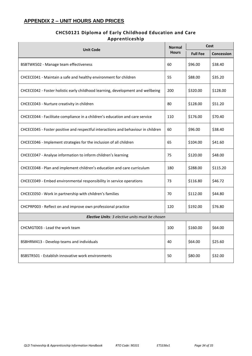## **APPENDIX 2 – UNIT HOURS AND PRICES**

## **CHC50121 Diploma of Early Childhood Education and Care Apprenticeship**

| <b>Unit Code</b>                                                                  |     | Cost            |                   |  |
|-----------------------------------------------------------------------------------|-----|-----------------|-------------------|--|
|                                                                                   |     | <b>Full Fee</b> | <b>Concession</b> |  |
| BSBTWK502 - Manage team effectiveness                                             | 60  | \$96.00         | \$38.40           |  |
| CHCECE041 - Maintain a safe and healthy environment for children                  | 55  | \$88.00         | \$35.20           |  |
| CHCECE042 - Foster holistic early childhood learning, development and wellbeing   | 200 | \$320.00        | \$128.00          |  |
| CHCECE043 - Nurture creativity in children                                        | 80  | \$128.00        | \$51.20           |  |
| CHCECE044 - Facilitate compliance in a children's education and care service      | 110 | \$176.00        | \$70.40           |  |
| CHCECE045 - Foster positive and respectful interactions and behaviour in children | 60  | \$96.00         | \$38.40           |  |
| CHCECE046 - Implement strategies for the inclusion of all children                | 65  | \$104.00        | \$41.60           |  |
| CHCECE047 - Analyse information to inform children's learning                     | 75  | \$120.00        | \$48.00           |  |
| CHCECE048 - Plan and implement children's education and care curriculum           | 180 | \$288.00        | \$115.20          |  |
| CHCECE049 - Embed environmental responsibility in service operations              | 73  | \$116.80        | \$46.72           |  |
| CHCECE050 - Work in partnership with children's families                          | 70  | \$112.00        | \$44.80           |  |
| CHCPRP003 - Reflect on and improve own professional practice                      | 120 | \$192.00        | \$76.80           |  |
| Elective Units: 3 elective units must be chosen                                   |     |                 |                   |  |
| CHCMGT003 - Lead the work team                                                    | 100 | \$160.00        | \$64.00           |  |
| BSBHRM413 - Develop teams and individuals                                         | 40  | \$64.00         | \$25.60           |  |
| BSBSTR501 - Establish innovative work environments                                | 50  | \$80.00         | \$32.00           |  |